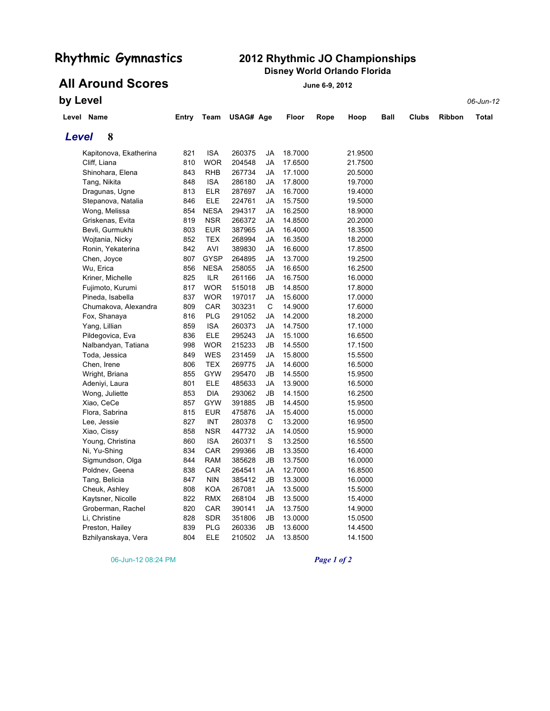## **Rhythmic Gymnastics 2012 Rhythmic JO Championships Disney World Orlando Florida**

**All Around Scores June 6-9, 2012** 

**by Level** *06-Jun-12*

| Level Name |                        | Entry | Team        | USAG# Age |    | Floor   | Rope | Hoop    | Ball | <b>Clubs</b> | <b>Ribbon</b> | Total |
|------------|------------------------|-------|-------------|-----------|----|---------|------|---------|------|--------------|---------------|-------|
| Level      | 8                      |       |             |           |    |         |      |         |      |              |               |       |
|            | Kapitonova, Ekatherina | 821   | <b>ISA</b>  | 260375    | JA | 18.7000 |      | 21.9500 |      |              |               |       |
|            | Cliff, Liana           | 810   | <b>WOR</b>  | 204548    | JA | 17.6500 |      | 21.7500 |      |              |               |       |
|            | Shinohara, Elena       | 843   | <b>RHB</b>  | 267734    | JA | 17.1000 |      | 20.5000 |      |              |               |       |
|            | Tang, Nikita           | 848   | <b>ISA</b>  | 286180    | JA | 17.8000 |      | 19.7000 |      |              |               |       |
|            | Dragunas, Ugne         | 813   | <b>ELR</b>  | 287697    | JA | 16.7000 |      | 19.4000 |      |              |               |       |
|            | Stepanova, Natalia     | 846   | <b>ELE</b>  | 224761    | JA | 15.7500 |      | 19.5000 |      |              |               |       |
|            | Wong, Melissa          | 854   | <b>NESA</b> | 294317    | JA | 16.2500 |      | 18.9000 |      |              |               |       |
|            | Griskenas, Evita       | 819   | <b>NSR</b>  | 266372    | JA | 14.8500 |      | 20.2000 |      |              |               |       |
|            | Bevli, Gurmukhi        | 803   | <b>EUR</b>  | 387965    | JA | 16.4000 |      | 18.3500 |      |              |               |       |
|            | Wojtania, Nicky        | 852   | <b>TEX</b>  | 268994    | JA | 16.3500 |      | 18.2000 |      |              |               |       |
|            | Ronin, Yekaterina      | 842   | AVI         | 389830    | JA | 16.6000 |      | 17.8500 |      |              |               |       |
|            | Chen, Joyce            | 807   | <b>GYSP</b> | 264895    | JA | 13.7000 |      | 19.2500 |      |              |               |       |
|            | Wu, Erica              | 856   | <b>NESA</b> | 258055    | JA | 16.6500 |      | 16.2500 |      |              |               |       |
|            | Kriner, Michelle       | 825   | <b>ILR</b>  | 261166    | JA | 16.7500 |      | 16.0000 |      |              |               |       |
|            | Fujimoto, Kurumi       | 817   | <b>WOR</b>  | 515018    | JB | 14.8500 |      | 17.8000 |      |              |               |       |
|            | Pineda, Isabella       | 837   | <b>WOR</b>  | 197017    | JA | 15.6000 |      | 17.0000 |      |              |               |       |
|            | Chumakova, Alexandra   | 809   | CAR         | 303231    | С  | 14.9000 |      | 17.6000 |      |              |               |       |
|            | Fox, Shanaya           | 816   | PLG         | 291052    | JA | 14.2000 |      | 18.2000 |      |              |               |       |
|            | Yang, Lillian          | 859   | <b>ISA</b>  | 260373    | JA | 14.7500 |      | 17.1000 |      |              |               |       |
|            | Pildegovica, Eva       | 836   | <b>ELE</b>  | 295243    | JA | 15.1000 |      | 16.6500 |      |              |               |       |
|            | Nalbandyan, Tatiana    | 998   | WOR         | 215233    | JB | 14.5500 |      | 17.1500 |      |              |               |       |
|            | Toda, Jessica          | 849   | <b>WES</b>  | 231459    | JA | 15.8000 |      | 15.5500 |      |              |               |       |
|            | Chen, Irene            | 806   | <b>TEX</b>  | 269775    | JA | 14.6000 |      | 16.5000 |      |              |               |       |
|            | Wright, Briana         | 855   | GYW         | 295470    | JB | 14.5500 |      | 15.9500 |      |              |               |       |
|            | Adeniyi, Laura         | 801   | <b>ELE</b>  | 485633    | JA | 13.9000 |      | 16.5000 |      |              |               |       |
|            | Wong, Juliette         | 853   | <b>DIA</b>  | 293062    | JB | 14.1500 |      | 16.2500 |      |              |               |       |
|            | Xiao, CeCe             | 857   | <b>GYW</b>  | 391885    | JB | 14.4500 |      | 15.9500 |      |              |               |       |
|            | Flora, Sabrina         | 815   | <b>EUR</b>  | 475876    | JA | 15.4000 |      | 15.0000 |      |              |               |       |
|            | Lee, Jessie            | 827   | INT         | 280378    | С  | 13.2000 |      | 16.9500 |      |              |               |       |
|            | Xiao, Cissy            | 858   | <b>NSR</b>  | 447732    | JA | 14.0500 |      | 15.9000 |      |              |               |       |
|            | Young, Christina       | 860   | <b>ISA</b>  | 260371    | S  | 13.2500 |      | 16.5500 |      |              |               |       |
|            | Ni, Yu-Shing           | 834   | CAR         | 299366    | JB | 13.3500 |      | 16.4000 |      |              |               |       |
|            | Sigmundson, Olga       | 844   | <b>RAM</b>  | 385628    | JB | 13.7500 |      | 16.0000 |      |              |               |       |
|            | Poldnev, Geena         | 838   | CAR         | 264541    | JA | 12.7000 |      | 16.8500 |      |              |               |       |
|            | Tang, Belicia          | 847   | <b>NIN</b>  | 385412    | JB | 13.3000 |      | 16.0000 |      |              |               |       |
|            | Cheuk, Ashley          | 808   | <b>KOA</b>  | 267081    | JA | 13.5000 |      | 15.5000 |      |              |               |       |
|            | Kaytsner, Nicolle      | 822   | <b>RMX</b>  | 268104    | JB | 13.5000 |      | 15.4000 |      |              |               |       |
|            | Groberman, Rachel      | 820   | CAR         | 390141    | JA | 13.7500 |      | 14.9000 |      |              |               |       |
|            | Li, Christine          | 828   | SDR         | 351806    | JB | 13.0000 |      | 15.0500 |      |              |               |       |
|            | Preston, Hailey        | 839   | <b>PLG</b>  | 260336    | JB | 13.6000 |      | 14.4500 |      |              |               |       |
|            | Bzhilyanskaya, Vera    | 804   | <b>ELE</b>  | 210502    | JA | 13.8500 |      | 14.1500 |      |              |               |       |

06-Jun-12 08:24 PM *Page 1 of 2*